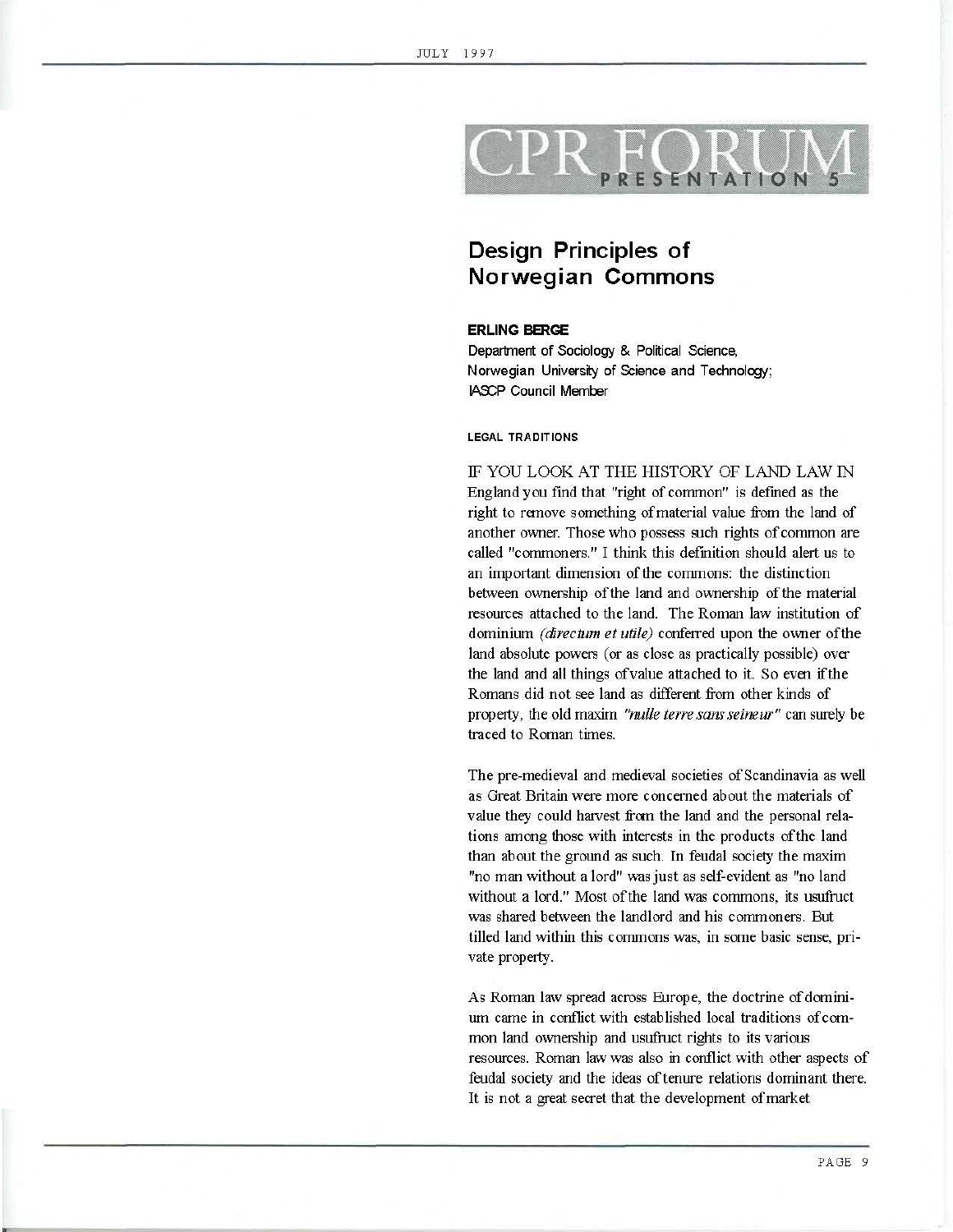# SENTATIO

# **Design Principles of Norwegian Commons**

# **ERLING BERGE**

Department of Sociology & Political Science, Norwegian University of Science and Technology; LASCP Council Member

### LEGAL TRADITIONS

IF YOU LOOK AT THE HISTORY OF LAND LAW IN England you find that "right of common" is defmed as the right to remove something of material value from the land of another owner. Those who possess such rights of common are called "commoners." I think this defmition should alett us to an important dimension of the commons: the distinction between ownership of the land and ownership of the material resources attached to the land. The Roman law institution of dominium *(directum et utile)* conferred upon the owner of the land absolute powers (or as close as practically possible) over the land and all things ofvalue attached to it. So even ifthe Romans did not see land as different from other kinds of property, the old maxim *"nulle terre sans seineur"* can surely be traced to Roman times.

The pre-medieval and medieval societies of Scandinavia as well as Great Britain were more concerned about the materials of value they could harvest from the land and the personal relations among those with interests in the products of the land than about the ground as such. In feudal society the maxim "no man without a lord" was just as self-evident as "no land without a lord." Most of the land was commons, its usufruct was shared between the landlord and his commoners. But tilled land within this commons was, in some basic sense, private property.

As Roman law spread across Europe, the doctrine of dominiurn came in conflict with established local traditions of common land ownership and usufruct rights to its various resources. Roman law was also in conflict with other aspects of feudal society and the ideas of tenure relations dominant there. It is not a great secret that the development of market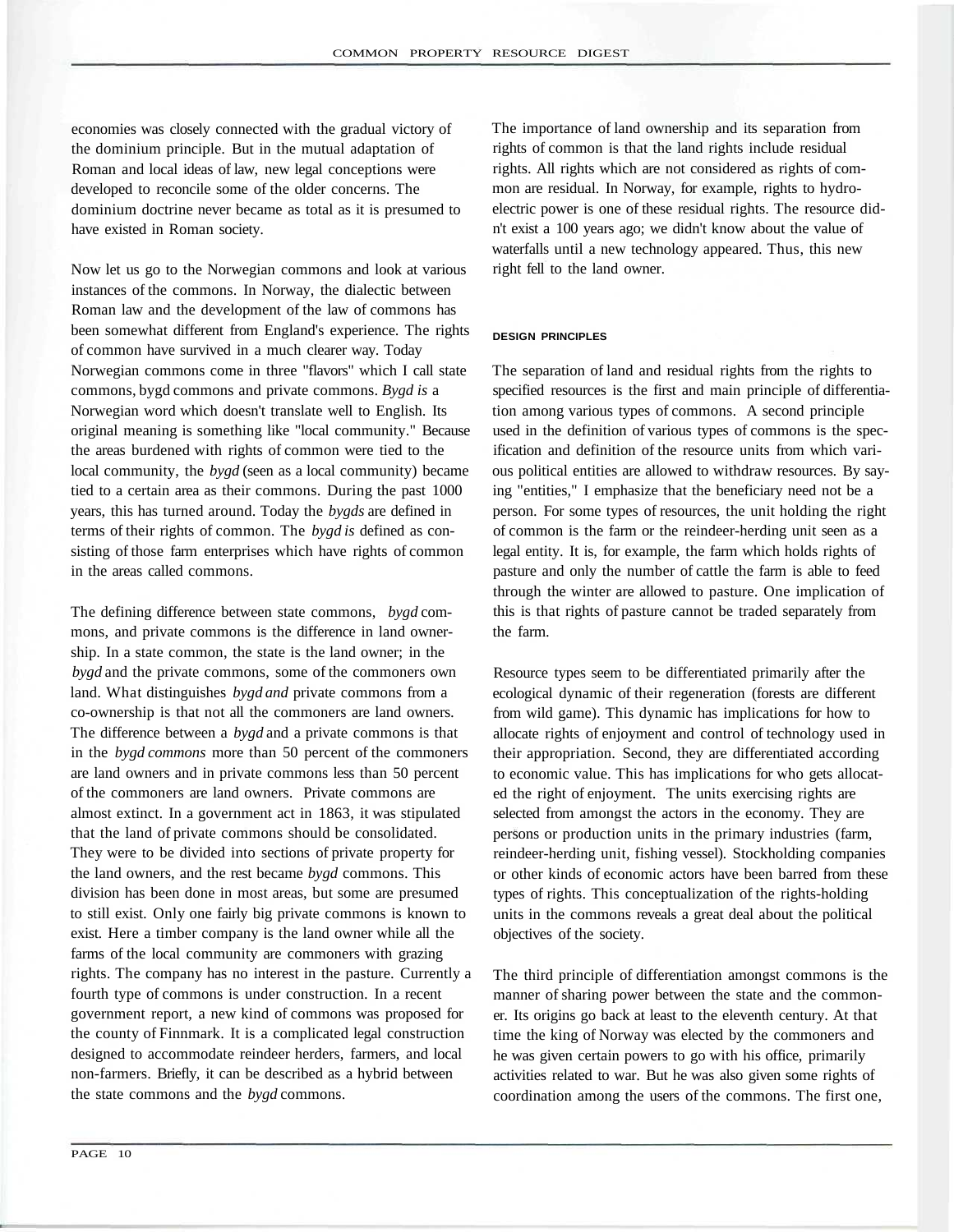economies was closely connected with the gradual victory of the dominium principle. But in the mutual adaptation of Roman and local ideas of law, new legal conceptions were developed to reconcile some of the older concerns. The dominium doctrine never became as total as it is presumed to have existed in Roman society.

Now let us go to the Norwegian commons and look at various instances of the commons. In Norway, the dialectic between Roman law and the development of the law of commons has been somewhat different from England's experience. The rights of common have survived in a much clearer way. Today Norwegian commons come in three "flavors" which I call state commons, bygd commons and private commons. *Bygd is* a Norwegian word which doesn't translate well to English. Its original meaning is something like "local community." Because the areas burdened with rights of common were tied to the local community, the *bygd* (seen as a local community) became tied to a certain area as their commons. During the past 1000 years, this has turned around. Today the *bygds* are defined in terms of their rights of common. The *bygd is* defined as consisting of those farm enterprises which have rights of common in the areas called commons.

The defining difference between state commons, *bygd* commons, and private commons is the difference in land ownership. In a state common, the state is the land owner; in the *bygd* and the private commons, some of the commoners own land. What distinguishes *bygd and* private commons from a co-ownership is that not all the commoners are land owners. The difference between a *bygd* and a private commons is that in the *bygd commons* more than 50 percent of the commoners are land owners and in private commons less than 50 percent of the commoners are land owners. Private commons are almost extinct. In a government act in 1863, it was stipulated that the land of private commons should be consolidated. They were to be divided into sections of private property for the land owners, and the rest became *bygd* commons. This division has been done in most areas, but some are presumed to still exist. Only one fairly big private commons is known to exist. Here a timber company is the land owner while all the farms of the local community are commoners with grazing rights. The company has no interest in the pasture. Currently a fourth type of commons is under construction. In a recent government report, a new kind of commons was proposed for the county of Finnmark. It is a complicated legal construction designed to accommodate reindeer herders, farmers, and local non-farmers. Briefly, it can be described as a hybrid between the state commons and the *bygd* commons.

The importance of land ownership and its separation from rights of common is that the land rights include residual rights. All rights which are not considered as rights of common are residual. In Norway, for example, rights to hydroelectric power is one of these residual rights. The resource didn't exist a 100 years ago; we didn't know about the value of waterfalls until a new technology appeared. Thus, this new right fell to the land owner.

#### **DESIGN PRINCIPLES**

The separation of land and residual rights from the rights to specified resources is the first and main principle of differentiation among various types of commons. A second principle used in the definition of various types of commons is the specification and definition of the resource units from which various political entities are allowed to withdraw resources. By saying "entities," I emphasize that the beneficiary need not be a person. For some types of resources, the unit holding the right of common is the farm or the reindeer-herding unit seen as a legal entity. It is, for example, the farm which holds rights of pasture and only the number of cattle the farm is able to feed through the winter are allowed to pasture. One implication of this is that rights of pasture cannot be traded separately from the farm.

Resource types seem to be differentiated primarily after the ecological dynamic of their regeneration (forests are different from wild game). This dynamic has implications for how to allocate rights of enjoyment and control of technology used in their appropriation. Second, they are differentiated according to economic value. This has implications for who gets allocated the right of enjoyment. The units exercising rights are selected from amongst the actors in the economy. They are persons or production units in the primary industries (farm, reindeer-herding unit, fishing vessel). Stockholding companies or other kinds of economic actors have been barred from these types of rights. This conceptualization of the rights-holding units in the commons reveals a great deal about the political objectives of the society.

The third principle of differentiation amongst commons is the manner of sharing power between the state and the commoner. Its origins go back at least to the eleventh century. At that time the king of Norway was elected by the commoners and he was given certain powers to go with his office, primarily activities related to war. But he was also given some rights of coordination among the users of the commons. The first one,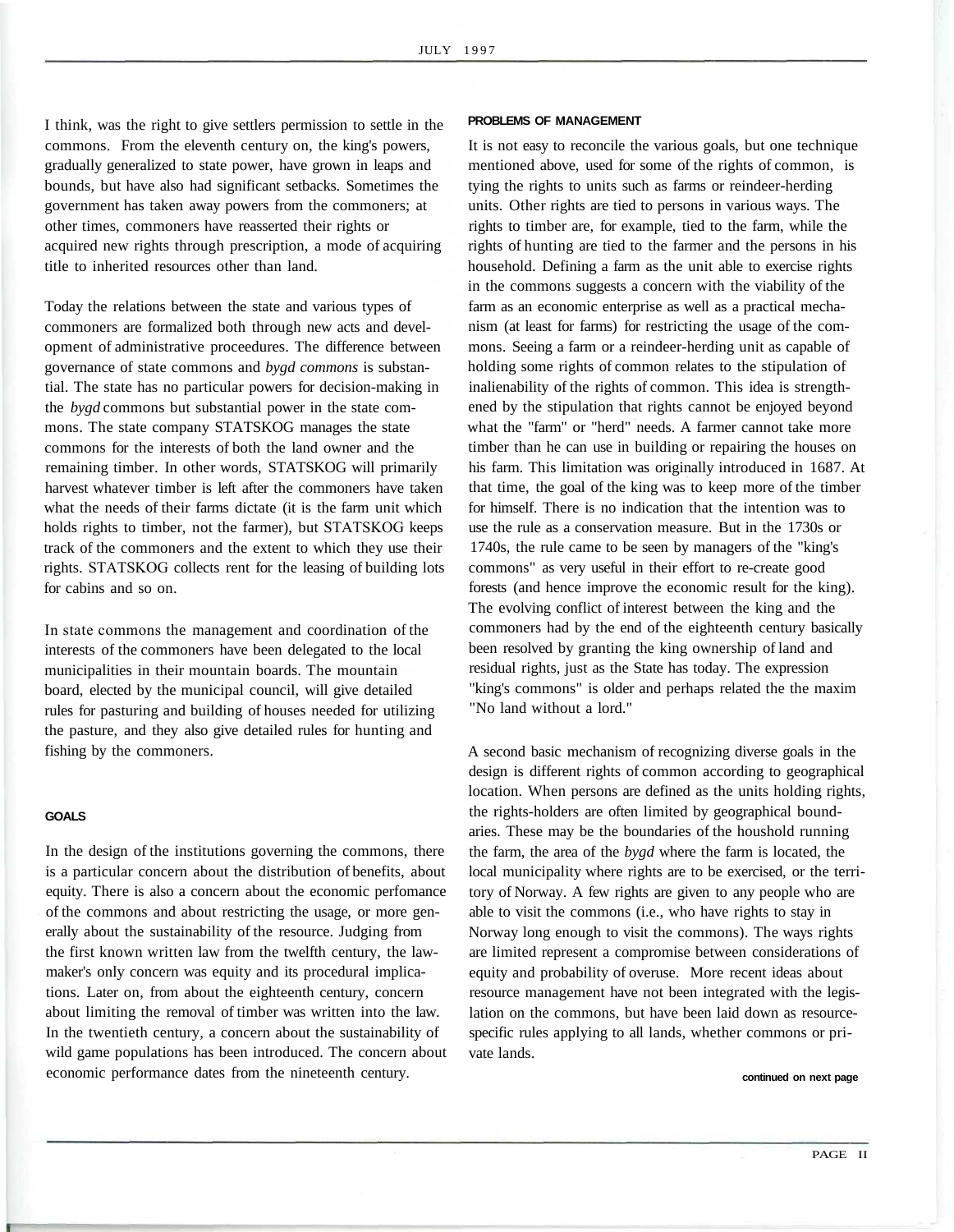I think, was the right to give settlers permission to settle in the commons. From the eleventh century on, the king's powers, gradually generalized to state power, have grown in leaps and bounds, but have also had significant setbacks. Sometimes the government has taken away powers from the commoners; at other times, commoners have reasserted their rights or acquired new rights through prescription, a mode of acquiring title to inherited resources other than land.

Today the relations between the state and various types of commoners are formalized both through new acts and development of administrative proceedures. The difference between governance of state commons and *bygd commons* is substantial. The state has no particular powers for decision-making in the *bygd* commons but substantial power in the state commons. The state company STATSKOG manages the state commons for the interests of both the land owner and the remaining timber. In other words, STATSKOG will primarily harvest whatever timber is left after the commoners have taken what the needs of their farms dictate (it is the farm unit which holds rights to timber, not the farmer), but STATSKOG keeps track of the commoners and the extent to which they use their rights. STATSKOG collects rent for the leasing of building lots for cabins and so on.

In state commons the management and coordination of the interests of the commoners have been delegated to the local municipalities in their mountain boards. The mountain board, elected by the municipal council, will give detailed rules for pasturing and building of houses needed for utilizing the pasture, and they also give detailed rules for hunting and fishing by the commoners.

#### **GOALS**

In the design of the institutions governing the commons, there is a particular concern about the distribution of benefits, about equity. There is also a concern about the economic perfomance of the commons and about restricting the usage, or more generally about the sustainability of the resource. Judging from the first known written law from the twelfth century, the lawmaker's only concern was equity and its procedural implications. Later on, from about the eighteenth century, concern about limiting the removal of timber was written into the law. In the twentieth century, a concern about the sustainability of wild game populations has been introduced. The concern about economic performance dates from the nineteenth century.

# **PROBLEMS OF MANAGEMENT**

It is not easy to reconcile the various goals, but one technique mentioned above, used for some of the rights of common, is tying the rights to units such as farms or reindeer-herding units. Other rights are tied to persons in various ways. The rights to timber are, for example, tied to the farm, while the rights of hunting are tied to the farmer and the persons in his household. Defining a farm as the unit able to exercise rights in the commons suggests a concern with the viability of the farm as an economic enterprise as well as a practical mechanism (at least for farms) for restricting the usage of the commons. Seeing a farm or a reindeer-herding unit as capable of holding some rights of common relates to the stipulation of inalienability of the rights of common. This idea is strengthened by the stipulation that rights cannot be enjoyed beyond what the "farm" or "herd" needs. A farmer cannot take more timber than he can use in building or repairing the houses on his farm. This limitation was originally introduced in 1687. At that time, the goal of the king was to keep more of the timber for himself. There is no indication that the intention was to use the rule as a conservation measure. But in the 1730s or 1740s, the rule came to be seen by managers of the "king's commons" as very useful in their effort to re-create good forests (and hence improve the economic result for the king). The evolving conflict of interest between the king and the commoners had by the end of the eighteenth century basically been resolved by granting the king ownership of land and residual rights, just as the State has today. The expression "king's commons" is older and perhaps related the the maxim "No land without a lord."

A second basic mechanism of recognizing diverse goals in the design is different rights of common according to geographical location. When persons are defined as the units holding rights, the rights-holders are often limited by geographical boundaries. These may be the boundaries of the houshold running the farm, the area of the *bygd* where the farm is located, the local municipality where rights are to be exercised, or the territory of Norway. A few rights are given to any people who are able to visit the commons (i.e., who have rights to stay in Norway long enough to visit the commons). The ways rights are limited represent a compromise between considerations of equity and probability of overuse. More recent ideas about resource management have not been integrated with the legislation on the commons, but have been laid down as resourcespecific rules applying to all lands, whether commons or private lands.

**continued on next page**